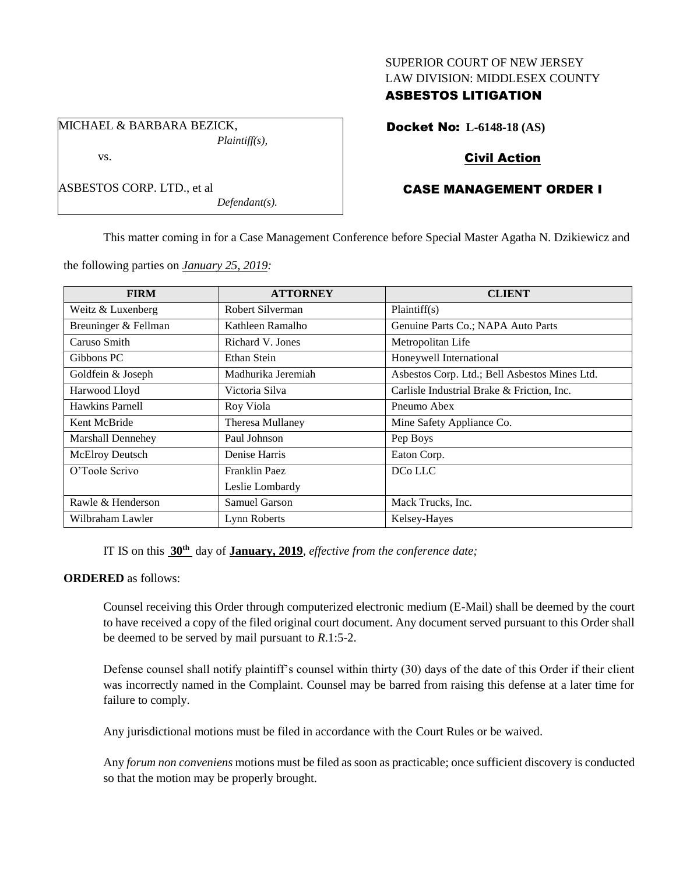## SUPERIOR COURT OF NEW JERSEY LAW DIVISION: MIDDLESEX COUNTY

## ASBESTOS LITIGATION

MICHAEL & BARBARA BEZICK, *Plaintiff(s),*

ASBESTOS CORP. LTD., et al

vs.

Docket No: **L-6148-18 (AS)**

# Civil Action

# CASE MANAGEMENT ORDER I

This matter coming in for a Case Management Conference before Special Master Agatha N. Dzikiewicz and

the following parties on *January 25, 2019:*

*Defendant(s).*

| <b>FIRM</b>              | <b>ATTORNEY</b>    | <b>CLIENT</b>                                 |
|--------------------------|--------------------|-----------------------------------------------|
| Weitz & Luxenberg        | Robert Silverman   | Plaintiff(s)                                  |
| Breuninger & Fellman     | Kathleen Ramalho   | Genuine Parts Co.; NAPA Auto Parts            |
| Caruso Smith             | Richard V. Jones   | Metropolitan Life                             |
| Gibbons PC               | Ethan Stein        | Honeywell International                       |
| Goldfein & Joseph        | Madhurika Jeremiah | Asbestos Corp. Ltd.; Bell Asbestos Mines Ltd. |
| Harwood Lloyd            | Victoria Silva     | Carlisle Industrial Brake & Friction, Inc.    |
| Hawkins Parnell          | Roy Viola          | Pneumo Abex                                   |
| Kent McBride             | Theresa Mullaney   | Mine Safety Appliance Co.                     |
| <b>Marshall Dennehey</b> | Paul Johnson       | Pep Boys                                      |
| McElroy Deutsch          | Denise Harris      | Eaton Corp.                                   |
| O'Toole Scrivo           | Franklin Paez      | DCo LLC                                       |
|                          | Leslie Lombardy    |                                               |
| Rawle & Henderson        | Samuel Garson      | Mack Trucks, Inc.                             |
| Wilbraham Lawler         | Lynn Roberts       | Kelsey-Hayes                                  |

IT IS on this **30th** day of **January, 2019**, *effective from the conference date;*

### **ORDERED** as follows:

Counsel receiving this Order through computerized electronic medium (E-Mail) shall be deemed by the court to have received a copy of the filed original court document. Any document served pursuant to this Order shall be deemed to be served by mail pursuant to *R*.1:5-2.

Defense counsel shall notify plaintiff's counsel within thirty (30) days of the date of this Order if their client was incorrectly named in the Complaint. Counsel may be barred from raising this defense at a later time for failure to comply.

Any jurisdictional motions must be filed in accordance with the Court Rules or be waived.

Any *forum non conveniens* motions must be filed as soon as practicable; once sufficient discovery is conducted so that the motion may be properly brought.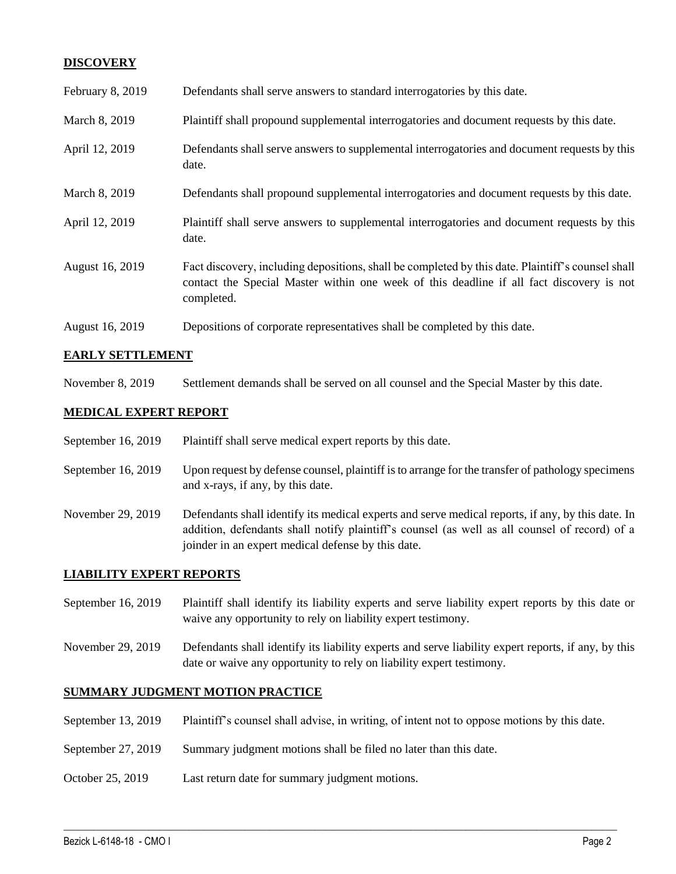## **DISCOVERY**

| February 8, 2019 | Defendants shall serve answers to standard interrogatories by this date.                                                                                                                                    |
|------------------|-------------------------------------------------------------------------------------------------------------------------------------------------------------------------------------------------------------|
| March 8, 2019    | Plaintiff shall propound supplemental interrogatories and document requests by this date.                                                                                                                   |
| April 12, 2019   | Defendants shall serve answers to supplemental interrogatories and document requests by this<br>date.                                                                                                       |
| March 8, 2019    | Defendants shall propound supplemental interrogatories and document requests by this date.                                                                                                                  |
| April 12, 2019   | Plaintiff shall serve answers to supplemental interrogatories and document requests by this<br>date.                                                                                                        |
| August 16, 2019  | Fact discovery, including depositions, shall be completed by this date. Plaintiff's counsel shall<br>contact the Special Master within one week of this deadline if all fact discovery is not<br>completed. |
| August 16, 2019  | Depositions of corporate representatives shall be completed by this date.                                                                                                                                   |

## **EARLY SETTLEMENT**

November 8, 2019 Settlement demands shall be served on all counsel and the Special Master by this date.

## **MEDICAL EXPERT REPORT**

| September 16, 2019 | Plaintiff shall serve medical expert reports by this date. |
|--------------------|------------------------------------------------------------|
|--------------------|------------------------------------------------------------|

- September 16, 2019 Upon request by defense counsel, plaintiff is to arrange for the transfer of pathology specimens and x-rays, if any, by this date.
- November 29, 2019 Defendants shall identify its medical experts and serve medical reports, if any, by this date. In addition, defendants shall notify plaintiff's counsel (as well as all counsel of record) of a joinder in an expert medical defense by this date.

### **LIABILITY EXPERT REPORTS**

- September 16, 2019 Plaintiff shall identify its liability experts and serve liability expert reports by this date or waive any opportunity to rely on liability expert testimony.
- November 29, 2019 Defendants shall identify its liability experts and serve liability expert reports, if any, by this date or waive any opportunity to rely on liability expert testimony.

## **SUMMARY JUDGMENT MOTION PRACTICE**

September 13, 2019 Plaintiff's counsel shall advise, in writing, of intent not to oppose motions by this date.

 $\_$  ,  $\_$  ,  $\_$  ,  $\_$  ,  $\_$  ,  $\_$  ,  $\_$  ,  $\_$  ,  $\_$  ,  $\_$  ,  $\_$  ,  $\_$  ,  $\_$  ,  $\_$  ,  $\_$  ,  $\_$  ,  $\_$  ,  $\_$  ,  $\_$  ,  $\_$  ,  $\_$  ,  $\_$  ,  $\_$  ,  $\_$  ,  $\_$  ,  $\_$  ,  $\_$  ,  $\_$  ,  $\_$  ,  $\_$  ,  $\_$  ,  $\_$  ,  $\_$  ,  $\_$  ,  $\_$  ,  $\_$  ,  $\_$  ,

- September 27, 2019 Summary judgment motions shall be filed no later than this date.
- October 25, 2019 Last return date for summary judgment motions.